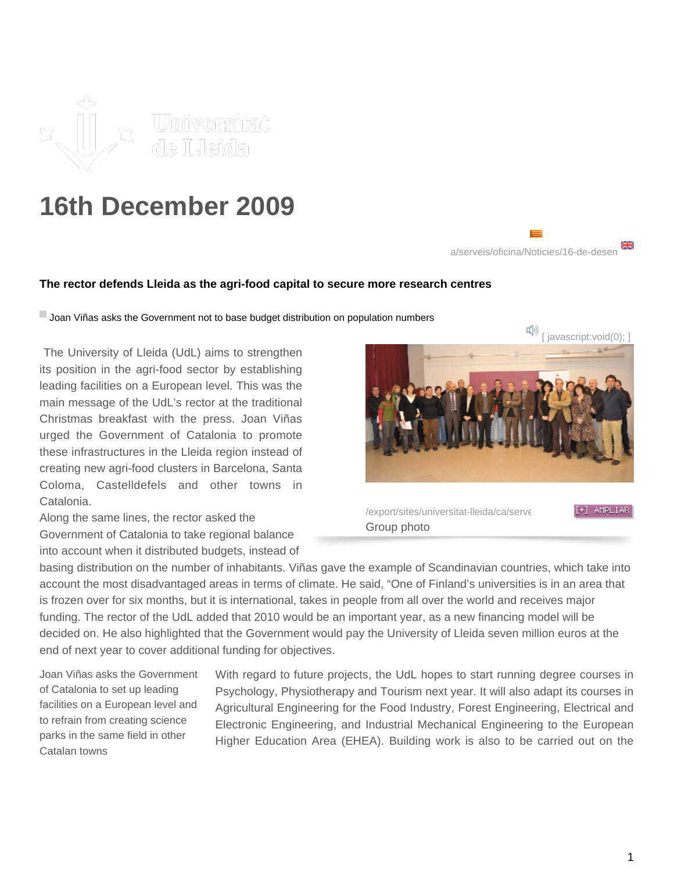

## **16th December 2009**



## **The rector defends Lleida as the agri-food capital to secure more research centres**

**Joan Viñas asks the Government not to base budget distribution on population numbers** 

 The University of Lleida (UdL) aims to strengthen its position in the agri-food sector by establishing leading facilities on a European level. This was the main message of the UdL's rector at the traditional Christmas breakfast with the press. Joan Viñas urged the Government of Catalonia to promote these infrastructures in the Lleida region instead of creating new agri-food clusters in Barcelona, Santa Coloma, Castelldefels and other towns in Catalonia.

Along the same lines, the rector asked the Government of Catalonia to take regional balance into account when it distributed budgets, instead of



/export/sites/universitat-lleida/ca/serveesmoresmort/sites/images/images-Group photo

basing distribution on the number of inhabitants. Viñas gave the example of Scandinavian countries, which take into account the most disadvantaged areas in terms of climate. He said, "One of Finland's universities is in an area that is frozen over for six months, but it is international, takes in people from all over the world and receives major funding. The rector of the UdL added that 2010 would be an important year, as a new financing model will be decided on. He also highlighted that the Government would pay the University of Lleida seven million euros at the end of next year to cover additional funding for objectives.

Joan Viñas asks the Government of Catalonia to set up leading facilities on a European level and to refrain from creating science parks in the same field in other Catalan towns

With regard to future projects, the UdL hopes to start running degree courses in Psychology, Physiotherapy and Tourism next year. It will also adapt its courses in Agricultural Engineering for the Food Industry, Forest Engineering, Electrical and Electronic Engineering, and Industrial Mechanical Engineering to the European Higher Education Area (EHEA). Building work is also to be carried out on the